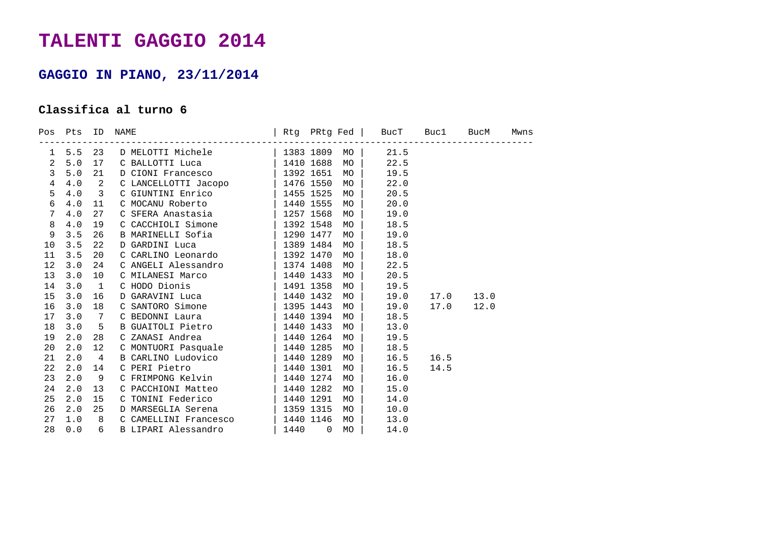## **TALENTI GAGGIO 2014**

## **GAGGIO IN PIANO, 23/11/2014**

## **Classifica al turno 6**

|                |     |                         | Pos Pts ID NAME                                                                                                                                                                                                                      |  |    | Rtg PRtg Fed   BucT Buc1 BucM Mwns |                |  |
|----------------|-----|-------------------------|--------------------------------------------------------------------------------------------------------------------------------------------------------------------------------------------------------------------------------------|--|----|------------------------------------|----------------|--|
| 1              |     |                         | 5.5 23 D MELOTTI Michele   1383 1809 MO   21.5<br>5.0 17 C BALLOTTI Luca   1410 1688 MO   22.5<br>5.0 21 D CIONI Francesco   1392 1651 MO   19.5<br>4.0 2 C LANCELLOTTI Jacopo   1476 1550 MO   22.0                                 |  |    |                                    |                |  |
| $\overline{a}$ |     |                         |                                                                                                                                                                                                                                      |  |    |                                    |                |  |
| $\mathbf{3}$   |     |                         |                                                                                                                                                                                                                                      |  |    |                                    |                |  |
| $\overline{4}$ |     |                         |                                                                                                                                                                                                                                      |  |    |                                    |                |  |
| 5              | 4.0 | $\overline{\mathbf{3}}$ | C GIUNTINI Enrico<br>C MOCANU Roberto (1440 1555 MO)                                                                                                                                                                                 |  |    | 20.5                               |                |  |
| 6              | 4.0 | 11                      |                                                                                                                                                                                                                                      |  |    | 20.0                               |                |  |
| 7              | 4.0 | 27                      | C SFERA Anastasia $\vert$ 1257 1568 MO $\vert$                                                                                                                                                                                       |  |    | 19.0                               |                |  |
| 8              | 4.0 | 19                      | C CACCHIOLI Simone $\vert$ 1392 1548 MO $\vert$                                                                                                                                                                                      |  |    | 18.5                               |                |  |
| 9              | 3.5 | 26                      | B MARINELLI Sofia                    1290 1477   MO   <br>D GARDINI Luca                    1389 1484   MO   <br>C CARLINO Leonardo            1392 1470   MO                                                                        |  |    | 19.0                               |                |  |
| 10             | 3.5 | 22                      |                                                                                                                                                                                                                                      |  |    | 18.5                               |                |  |
| 11             | 3.5 | 20                      |                                                                                                                                                                                                                                      |  |    | 18.0                               |                |  |
| 12             | 3.0 | 24                      | C ANGELI Alessandro $\vert$ 1374 1408 MO $\vert$                                                                                                                                                                                     |  |    | 22.5                               |                |  |
| 13             | 3.0 | 10                      | C MILANESI Marco   1440 1433                                                                                                                                                                                                         |  | MO | 20.5                               |                |  |
| 14             | 3.0 | $\overline{1}$          | C HODO Dionis<br>D GARAVINI Luca (1491 1358 MO)                                                                                                                                                                                      |  |    | 19.5                               |                |  |
| 15             | 3.0 | 16                      |                                                                                                                                                                                                                                      |  |    |                                    | 19.0 17.0 13.0 |  |
| 16             | 3.0 | 18                      | C SANTORO Simone $\begin{array}{c cc}   & 1395 & 1443 & \text{MO} \\ \hline \end{array}$ C BEDONNI Laura $\begin{array}{c cc}   & 1395 & 1443 & \text{MO} \\   & 1440 & 1394 & \text{MO} \end{array}$                                |  |    |                                    | 19.0 17.0 12.0 |  |
| 17             | 3.0 | 7                       |                                                                                                                                                                                                                                      |  |    | 18.5                               |                |  |
| 18             | 3.0 | $5^{\circ}$             |                                                                                                                                                                                                                                      |  |    | 13.0                               |                |  |
| 19             | 2.0 | 28                      |                                                                                                                                                                                                                                      |  |    | 19.5                               |                |  |
| 20             | 2.0 | 12                      | C MONTUORI Pasquale $\begin{array}{c c}   & 1440 & 1285 & \text{MO} \end{array}$                                                                                                                                                     |  |    | 18.5                               |                |  |
| 21             | 2.0 | $\overline{4}$          | B CARLINO Ludovico<br>C PERI Pietro   1440 1289 MO  <br>C FRIMPONG Kelvin   1440 1274 MO                                                                                                                                             |  |    |                                    | 16.5 16.5      |  |
| 22             | 2.0 | 14                      |                                                                                                                                                                                                                                      |  |    | 16.5                               | 14.5           |  |
| 23             | 2.0 | 9                       |                                                                                                                                                                                                                                      |  |    | 16.0                               |                |  |
| 24             | 2.0 | 13                      | C PACCHIONI Matteo $\begin{array}{ c c c c c c }\n\hline\nC\text{ TONINI} & \text{Federico} &   & 1440 & 1282 & \text{MO} &   \\ \hline\nC\text{ TONINI} & \text{Federico} &   & 1440 & 1291 & \text{MO} &   \\ \hline\n\end{array}$ |  |    | 15.0                               |                |  |
| 25             | 2.0 | 15                      |                                                                                                                                                                                                                                      |  |    | 14.0                               |                |  |
| 26             | 2.0 | 25                      | D MARSEGLIA Serena (2013) 2315 MO                                                                                                                                                                                                    |  |    | 10.0                               |                |  |
| 27             | 1.0 | 8 <sup>8</sup>          |                                                                                                                                                                                                                                      |  |    | 13.0                               |                |  |
| 28             | 0.0 |                         | 6 B LIPARI Alessandro (1440 0 MO   14.0                                                                                                                                                                                              |  |    |                                    |                |  |